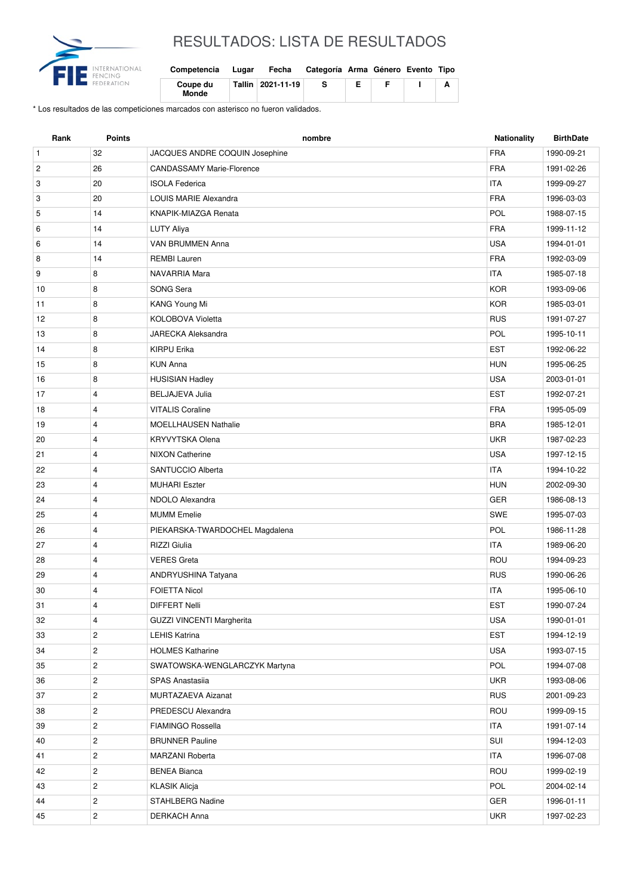

## RESULTADOS: LISTA DE RESULTADOS

| Competencia       | Lugar | Fecha | Categoría Arma Género Evento Tipo |  |  |
|-------------------|-------|-------|-----------------------------------|--|--|
| Coupe du<br>Monde |       |       | s                                 |  |  |

\* Los resultados de las competiciones marcados con asterisco no fueron validados.

| <b>FRA</b><br>$\mathbf{1}$<br>32<br>JACQUES ANDRE COQUIN Josephine<br><b>FRA</b><br>$\overline{c}$<br>26<br><b>CANDASSAMY Marie-Florence</b><br>20<br><b>ITA</b><br>3<br><b>ISOLA Federica</b><br>20<br><b>FRA</b><br>3<br><b>LOUIS MARIE Alexandra</b> | 1990-09-21<br>1991-02-26<br>1999-09-27<br>1996-03-03<br>1988-07-15<br>1999-11-12<br>1994-01-01 |
|---------------------------------------------------------------------------------------------------------------------------------------------------------------------------------------------------------------------------------------------------------|------------------------------------------------------------------------------------------------|
|                                                                                                                                                                                                                                                         |                                                                                                |
|                                                                                                                                                                                                                                                         |                                                                                                |
|                                                                                                                                                                                                                                                         |                                                                                                |
|                                                                                                                                                                                                                                                         |                                                                                                |
| POL<br>14<br>5<br>KNAPIK-MIAZGA Renata                                                                                                                                                                                                                  |                                                                                                |
| <b>FRA</b><br>6<br>14<br>LUTY Aliya                                                                                                                                                                                                                     |                                                                                                |
| VAN BRUMMEN Anna<br><b>USA</b><br>6<br>14                                                                                                                                                                                                               |                                                                                                |
| 14<br><b>FRA</b><br>8<br><b>REMBI Lauren</b>                                                                                                                                                                                                            | 1992-03-09                                                                                     |
| 9<br>8<br><b>ITA</b><br>NAVARRIA Mara                                                                                                                                                                                                                   | 1985-07-18                                                                                     |
| SONG Sera<br><b>KOR</b><br>8<br>10                                                                                                                                                                                                                      | 1993-09-06                                                                                     |
| 8<br>KANG Young Mi<br><b>KOR</b><br>11                                                                                                                                                                                                                  | 1985-03-01                                                                                     |
| 8<br><b>RUS</b><br>12<br><b>KOLOBOVA Violetta</b>                                                                                                                                                                                                       | 1991-07-27                                                                                     |
| POL<br>8<br>JARECKA Aleksandra<br>13                                                                                                                                                                                                                    | 1995-10-11                                                                                     |
| <b>EST</b><br>8<br>14<br><b>KIRPU Erika</b>                                                                                                                                                                                                             | 1992-06-22                                                                                     |
| 8<br><b>HUN</b><br>15<br><b>KUN Anna</b>                                                                                                                                                                                                                | 1995-06-25                                                                                     |
| 8<br><b>HUSISIAN Hadley</b><br><b>USA</b><br>16                                                                                                                                                                                                         | 2003-01-01                                                                                     |
| <b>EST</b><br>$\overline{4}$<br><b>BELJAJEVA Julia</b><br>17                                                                                                                                                                                            | 1992-07-21                                                                                     |
| 4<br><b>FRA</b><br>18<br><b>VITALIS Coraline</b>                                                                                                                                                                                                        | 1995-05-09                                                                                     |
| <b>MOELLHAUSEN Nathalie</b><br><b>BRA</b><br>19<br>4                                                                                                                                                                                                    | 1985-12-01                                                                                     |
| 20<br>$\overline{4}$<br><b>KRYVYTSKA Olena</b><br><b>UKR</b>                                                                                                                                                                                            | 1987-02-23                                                                                     |
| <b>USA</b><br>4<br><b>NIXON Catherine</b><br>21                                                                                                                                                                                                         | 1997-12-15                                                                                     |
| SANTUCCIO Alberta<br><b>ITA</b><br>22<br>4                                                                                                                                                                                                              | 1994-10-22                                                                                     |
| $\overline{4}$<br><b>HUN</b><br>23<br><b>MUHARI Eszter</b>                                                                                                                                                                                              | 2002-09-30                                                                                     |
| <b>GER</b><br>24<br>4<br>NDOLO Alexandra                                                                                                                                                                                                                | 1986-08-13                                                                                     |
| SWE<br>25<br>4<br><b>MUMM</b> Emelie                                                                                                                                                                                                                    | 1995-07-03                                                                                     |
| POL<br>26<br>4<br>PIEKARSKA-TWARDOCHEL Magdalena                                                                                                                                                                                                        | 1986-11-28                                                                                     |
| 27<br><b>RIZZI</b> Giulia<br><b>ITA</b><br>4                                                                                                                                                                                                            | 1989-06-20                                                                                     |
| ROU<br>28<br>4<br><b>VERES Greta</b>                                                                                                                                                                                                                    | 1994-09-23                                                                                     |
| 29<br>4<br><b>RUS</b><br>ANDRYUSHINA Tatyana                                                                                                                                                                                                            | 1990-06-26                                                                                     |
| <b>ITA</b><br>30<br>4<br><b>FOIETTA Nicol</b>                                                                                                                                                                                                           | 1995-06-10                                                                                     |
| EST<br>31<br>4<br>DIFFERT Nelli                                                                                                                                                                                                                         | 1990-07-24                                                                                     |
| GUZZI VINCENTI Margherita<br><b>USA</b><br>32<br>4                                                                                                                                                                                                      | 1990-01-01                                                                                     |
| <b>EST</b><br>$\overline{c}$<br><b>LEHIS Katrina</b><br>33                                                                                                                                                                                              | 1994-12-19                                                                                     |
| $\overline{c}$<br><b>USA</b><br>34<br><b>HOLMES Katharine</b>                                                                                                                                                                                           | 1993-07-15                                                                                     |
| $\overline{c}$<br>POL<br>35<br>SWATOWSKA-WENGLARCZYK Martyna                                                                                                                                                                                            | 1994-07-08                                                                                     |
| $\overline{c}$<br><b>UKR</b><br>36<br>SPAS Anastasiia                                                                                                                                                                                                   | 1993-08-06                                                                                     |
| $\overline{c}$<br><b>RUS</b><br>37<br>MURTAZAEVA Aizanat                                                                                                                                                                                                | 2001-09-23                                                                                     |
| $\overline{c}$<br>ROU<br>38<br>PREDESCU Alexandra                                                                                                                                                                                                       | 1999-09-15                                                                                     |
| $\overline{c}$<br><b>ITA</b><br>39<br><b>FIAMINGO Rossella</b>                                                                                                                                                                                          | 1991-07-14                                                                                     |
| $\overline{c}$<br>SUI<br>40<br><b>BRUNNER Pauline</b>                                                                                                                                                                                                   | 1994-12-03                                                                                     |
| $\overline{c}$<br><b>ITA</b><br>41<br>MARZANI Roberta                                                                                                                                                                                                   | 1996-07-08                                                                                     |
| 42<br>$\overline{c}$<br><b>BENEA Bianca</b><br>ROU                                                                                                                                                                                                      | 1999-02-19                                                                                     |
| POL<br>$\overline{c}$<br><b>KLASIK Alicja</b><br>43                                                                                                                                                                                                     | 2004-02-14                                                                                     |
| $\overline{c}$<br>STAHLBERG Nadine<br>GER<br>44                                                                                                                                                                                                         | 1996-01-11                                                                                     |
| $\mathbf{2}$<br><b>UKR</b><br>45<br><b>DERKACH Anna</b>                                                                                                                                                                                                 | 1997-02-23                                                                                     |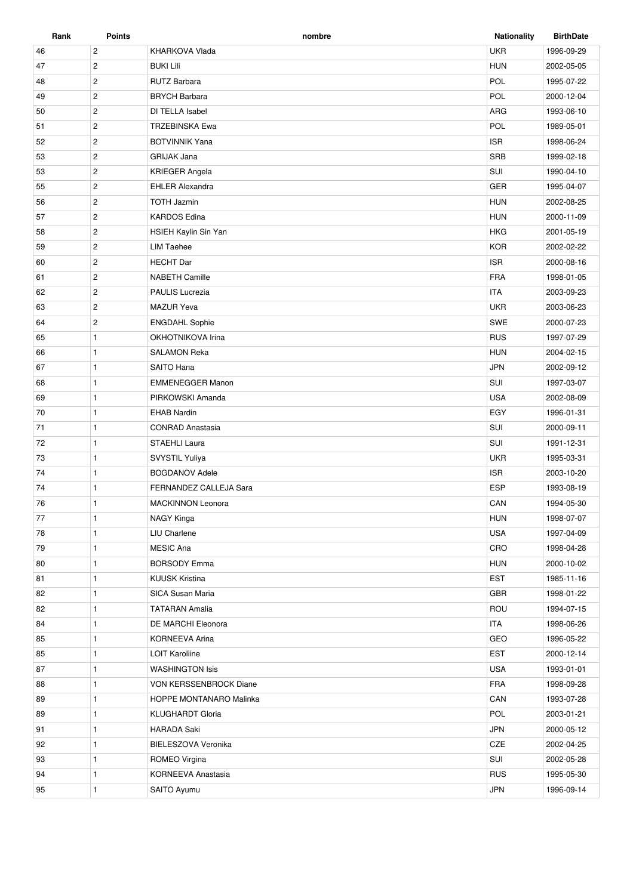| Rank | Points         | nombre                   | <b>Nationality</b> | <b>BirthDate</b> |
|------|----------------|--------------------------|--------------------|------------------|
| 46   | $\overline{c}$ | KHARKOVA Vlada           | <b>UKR</b>         | 1996-09-29       |
| 47   | $\mathbf{2}$   | <b>BUKI Lili</b>         | <b>HUN</b>         | 2002-05-05       |
| 48   | $\overline{c}$ | <b>RUTZ Barbara</b>      | POL                | 1995-07-22       |
| 49   | $\mathbf{2}$   | <b>BRYCH Barbara</b>     | POL                | 2000-12-04       |
| 50   | $\overline{2}$ | DI TELLA Isabel          | ARG                | 1993-06-10       |
| 51   | $\overline{2}$ | <b>TRZEBINSKA Ewa</b>    | <b>POL</b>         | 1989-05-01       |
| 52   | $\sqrt{2}$     | <b>BOTVINNIK Yana</b>    | <b>ISR</b>         | 1998-06-24       |
| 53   | $\overline{2}$ | <b>GRIJAK Jana</b>       | SRB                | 1999-02-18       |
| 53   | $\overline{2}$ | <b>KRIEGER Angela</b>    | SUI                | 1990-04-10       |
| 55   | $\overline{c}$ | <b>EHLER Alexandra</b>   | <b>GER</b>         | 1995-04-07       |
| 56   | $\overline{2}$ | <b>TOTH Jazmin</b>       | <b>HUN</b>         | 2002-08-25       |
| 57   | $\overline{2}$ | <b>KARDOS Edina</b>      | <b>HUN</b>         | 2000-11-09       |
| 58   | $\overline{2}$ | HSIEH Kaylin Sin Yan     | <b>HKG</b>         | 2001-05-19       |
| 59   | $\overline{2}$ | <b>LIM Taehee</b>        | <b>KOR</b>         | 2002-02-22       |
| 60   | $\overline{2}$ | <b>HECHT</b> Dar         | <b>ISR</b>         | 2000-08-16       |
| 61   | $\overline{2}$ | <b>NABETH Camille</b>    | <b>FRA</b>         | 1998-01-05       |
| 62   | $\overline{2}$ | <b>PAULIS Lucrezia</b>   | <b>ITA</b>         | 2003-09-23       |
| 63   | $\overline{c}$ | <b>MAZUR Yeva</b>        | <b>UKR</b>         | 2003-06-23       |
| 64   | $\overline{c}$ | <b>ENGDAHL Sophie</b>    | SWE                | 2000-07-23       |
| 65   | $\mathbf{1}$   | OKHOTNIKOVA Irina        | <b>RUS</b>         | 1997-07-29       |
| 66   | $\mathbf{1}$   | <b>SALAMON Reka</b>      | <b>HUN</b>         | 2004-02-15       |
| 67   | $\mathbf{1}$   | SAITO Hana               | <b>JPN</b>         | 2002-09-12       |
| 68   | $\mathbf{1}$   | <b>EMMENEGGER Manon</b>  | SUI                | 1997-03-07       |
| 69   | $\mathbf{1}$   | PIRKOWSKI Amanda         | <b>USA</b>         | 2002-08-09       |
| 70   | $\mathbf{1}$   | <b>EHAB Nardin</b>       | EGY                | 1996-01-31       |
| 71   | $\mathbf{1}$   | <b>CONRAD Anastasia</b>  | SUI                | 2000-09-11       |
| 72   | $\mathbf{1}$   | STAEHLI Laura            | SUI                | 1991-12-31       |
| 73   | $\mathbf{1}$   | SVYSTIL Yuliya           | <b>UKR</b>         | 1995-03-31       |
| 74   | $\mathbf{1}$   | <b>BOGDANOV Adele</b>    | <b>ISR</b>         | 2003-10-20       |
| 74   | $\mathbf{1}$   | FERNANDEZ CALLEJA Sara   | <b>ESP</b>         | 1993-08-19       |
| 76   | $\mathbf{1}$   | <b>MACKINNON Leonora</b> | CAN                | 1994-05-30       |
| 77   | $\mathbf{1}$   | NAGY Kinga               | <b>HUN</b>         | 1998-07-07       |
| 78   | $\mathbf{1}$   | <b>LIU Charlene</b>      | <b>USA</b>         | 1997-04-09       |
| 79   | $\mathbf{1}$   | MESIC Ana                | CRO                | 1998-04-28       |
| 80   | $\mathbf{1}$   | <b>BORSODY Emma</b>      | <b>HUN</b>         | 2000-10-02       |
| 81   | $\mathbf{1}$   | <b>KUUSK Kristina</b>    | EST                | 1985-11-16       |
| 82   | $\mathbf{1}$   | SICA Susan Maria         | GBR                | 1998-01-22       |
| 82   | $\mathbf{1}$   | <b>TATARAN Amalia</b>    | ROU                | 1994-07-15       |
| 84   | $\mathbf{1}$   | DE MARCHI Eleonora       | <b>ITA</b>         | 1998-06-26       |
| 85   | $\mathbf{1}$   | <b>KORNEEVA Arina</b>    | GEO                | 1996-05-22       |
| 85   | $\mathbf{1}$   | <b>LOIT Karoliine</b>    | <b>EST</b>         | 2000-12-14       |
| 87   | $\mathbf{1}$   | <b>WASHINGTON Isis</b>   | <b>USA</b>         | 1993-01-01       |
| 88   | $\mathbf{1}$   | VON KERSSENBROCK Diane   | <b>FRA</b>         | 1998-09-28       |
| 89   | $\mathbf{1}$   | HOPPE MONTANARO Malinka  | CAN                | 1993-07-28       |
| 89   | $\mathbf{1}$   | <b>KLUGHARDT Gloria</b>  | POL                | 2003-01-21       |
| 91   | $\mathbf{1}$   | HARADA Saki              | <b>JPN</b>         | 2000-05-12       |
| 92   | $\mathbf{1}$   | BIELESZOVA Veronika      | CZE                | 2002-04-25       |
| 93   | $\mathbf{1}$   |                          | SUI                |                  |
|      |                | ROMEO Virgina            |                    | 2002-05-28       |
| 94   | $\mathbf{1}$   | KORNEEVA Anastasia       | <b>RUS</b>         | 1995-05-30       |
| 95   | 1              | SAITO Ayumu              | <b>JPN</b>         | 1996-09-14       |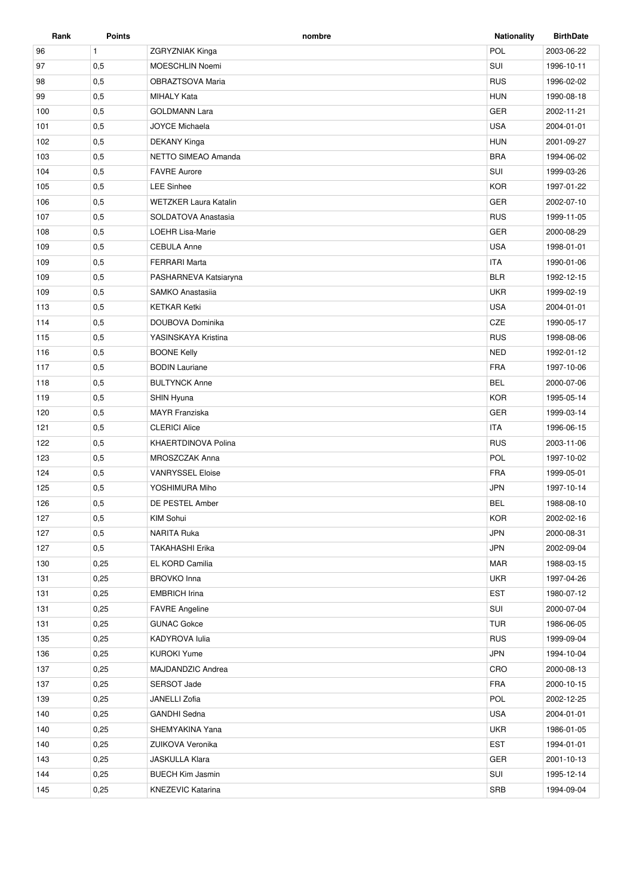| Rank | <b>Points</b> | nombre                       | <b>Nationality</b> | <b>BirthDate</b> |
|------|---------------|------------------------------|--------------------|------------------|
| 96   | $\mathbf{1}$  | <b>ZGRYZNIAK Kinga</b>       | POL                | 2003-06-22       |
| 97   | 0,5           | MOESCHLIN Noemi              | SUI                | 1996-10-11       |
| 98   | 0,5           | OBRAZTSOVA Maria             | <b>RUS</b>         | 1996-02-02       |
| 99   | 0,5           | <b>MIHALY Kata</b>           | <b>HUN</b>         | 1990-08-18       |
| 100  | 0,5           | <b>GOLDMANN Lara</b>         | GER                | 2002-11-21       |
| 101  | 0,5           | <b>JOYCE Michaela</b>        | <b>USA</b>         | 2004-01-01       |
| 102  | 0,5           | DEKANY Kinga                 | <b>HUN</b>         | 2001-09-27       |
| 103  | 0,5           | NETTO SIMEAO Amanda          | <b>BRA</b>         | 1994-06-02       |
| 104  | 0,5           | <b>FAVRE Aurore</b>          | SUI                | 1999-03-26       |
| 105  | 0,5           | <b>LEE Sinhee</b>            | <b>KOR</b>         | 1997-01-22       |
| 106  | 0,5           | <b>WETZKER Laura Katalin</b> | <b>GER</b>         | 2002-07-10       |
| 107  | 0,5           | SOLDATOVA Anastasia          | <b>RUS</b>         | 1999-11-05       |
| 108  | 0,5           | <b>LOEHR Lisa-Marie</b>      | <b>GER</b>         | 2000-08-29       |
| 109  | 0,5           | <b>CEBULA Anne</b>           | <b>USA</b>         | 1998-01-01       |
| 109  | 0,5           | <b>FERRARI Marta</b>         | <b>ITA</b>         | 1990-01-06       |
| 109  | 0,5           | PASHARNEVA Katsiaryna        | <b>BLR</b>         | 1992-12-15       |
| 109  | 0,5           | SAMKO Anastasija             | <b>UKR</b>         | 1999-02-19       |
| 113  | 0,5           | <b>KETKAR Ketki</b>          | <b>USA</b>         | 2004-01-01       |
| 114  | 0,5           | DOUBOVA Dominika             | CZE                | 1990-05-17       |
| 115  | 0,5           | YASINSKAYA Kristina          | <b>RUS</b>         | 1998-08-06       |
| 116  | 0,5           | <b>BOONE Kelly</b>           | <b>NED</b>         | 1992-01-12       |
| 117  | 0,5           | <b>BODIN Lauriane</b>        | <b>FRA</b>         | 1997-10-06       |
| 118  | 0,5           | <b>BULTYNCK Anne</b>         | <b>BEL</b>         | 2000-07-06       |
| 119  | 0,5           | SHIN Hyuna                   | <b>KOR</b>         | 1995-05-14       |
| 120  | 0,5           | <b>MAYR</b> Franziska        | <b>GER</b>         | 1999-03-14       |
| 121  | 0,5           | <b>CLERICI Alice</b>         | <b>ITA</b>         | 1996-06-15       |
| 122  | 0,5           | KHAERTDINOVA Polina          | <b>RUS</b>         | 2003-11-06       |
| 123  | 0,5           | MROSZCZAK Anna               | POL                | 1997-10-02       |
| 124  | 0,5           | <b>VANRYSSEL Eloise</b>      | <b>FRA</b>         | 1999-05-01       |
| 125  | 0,5           | YOSHIMURA Miho               | <b>JPN</b>         | 1997-10-14       |
| 126  | 0,5           | <b>DE PESTEL Amber</b>       | <b>BEL</b>         | 1988-08-10       |
| 127  | 0,5           | KIM Sohui                    | <b>KOR</b>         | 2002-02-16       |
| 127  | 0,5           | NARITA Ruka                  | <b>JPN</b>         | 2000-08-31       |
| 127  | 0,5           | <b>TAKAHASHI Erika</b>       | <b>JPN</b>         | 2002-09-04       |
| 130  | 0,25          | EL KORD Camilia              | <b>MAR</b>         | 1988-03-15       |
| 131  | 0,25          | <b>BROVKO</b> Inna           | <b>UKR</b>         | 1997-04-26       |
| 131  | 0,25          | <b>EMBRICH Irina</b>         | <b>EST</b>         | 1980-07-12       |
| 131  | 0,25          | <b>FAVRE</b> Angeline        | SUI                | 2000-07-04       |
| 131  | 0,25          | <b>GUNAC Gokce</b>           | TUR                | 1986-06-05       |
| 135  | 0,25          | KADYROVA lulia               | <b>RUS</b>         | 1999-09-04       |
| 136  | 0,25          | <b>KUROKI Yume</b>           | <b>JPN</b>         | 1994-10-04       |
| 137  | 0,25          | MAJDANDZIC Andrea            | CRO                | 2000-08-13       |
| 137  | 0,25          | SERSOT Jade                  | <b>FRA</b>         | 2000-10-15       |
| 139  | 0,25          | JANELLI Zofia                | POL                | 2002-12-25       |
| 140  | 0,25          | GANDHI Sedna                 | <b>USA</b>         | 2004-01-01       |
| 140  | 0,25          | SHEMYAKINA Yana              | <b>UKR</b>         | 1986-01-05       |
| 140  | 0,25          | ZUIKOVA Veronika             | <b>EST</b>         | 1994-01-01       |
| 143  | 0,25          | JASKULLA Klara               | <b>GER</b>         | 2001-10-13       |
| 144  | 0,25          | <b>BUECH Kim Jasmin</b>      | SUI                | 1995-12-14       |
| 145  | 0,25          | <b>KNEZEVIC Katarina</b>     | SRB                | 1994-09-04       |
|      |               |                              |                    |                  |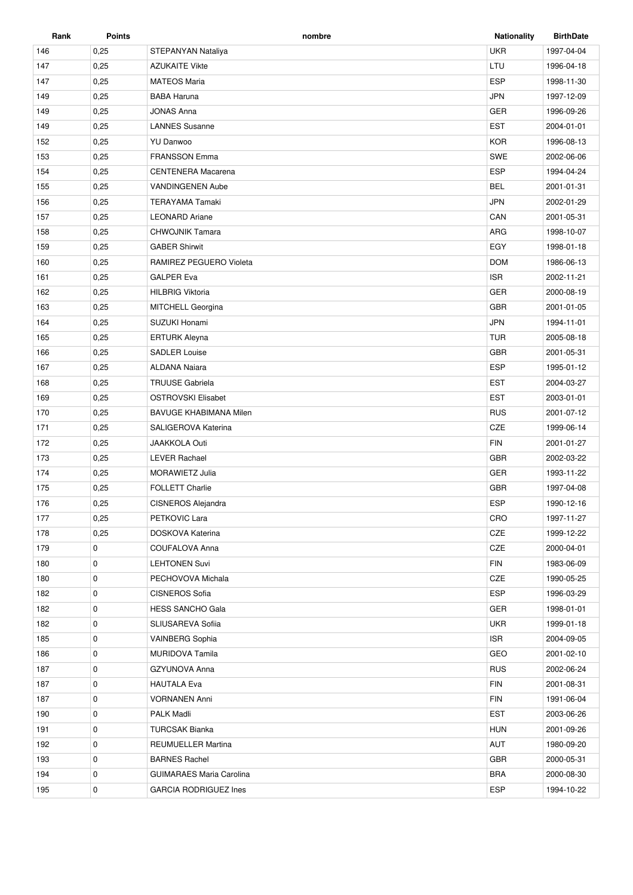| Rank | <b>Points</b> | nombre                          | <b>Nationality</b> | <b>BirthDate</b> |
|------|---------------|---------------------------------|--------------------|------------------|
| 146  | 0,25          | STEPANYAN Nataliya              | <b>UKR</b>         | 1997-04-04       |
| 147  | 0,25          | <b>AZUKAITE Vikte</b>           | LTU                | 1996-04-18       |
| 147  | 0,25          | <b>MATEOS Maria</b>             | <b>ESP</b>         | 1998-11-30       |
| 149  | 0,25          | <b>BABA Haruna</b>              | <b>JPN</b>         | 1997-12-09       |
| 149  | 0,25          | <b>JONAS Anna</b>               | <b>GER</b>         | 1996-09-26       |
| 149  | 0,25          | <b>LANNES Susanne</b>           | <b>EST</b>         | 2004-01-01       |
| 152  | 0,25          | <b>YU Danwoo</b>                | <b>KOR</b>         | 1996-08-13       |
| 153  | 0,25          | <b>FRANSSON Emma</b>            | <b>SWE</b>         | 2002-06-06       |
| 154  | 0,25          | <b>CENTENERA Macarena</b>       | <b>ESP</b>         | 1994-04-24       |
| 155  | 0,25          | <b>VANDINGENEN Aube</b>         | <b>BEL</b>         | 2001-01-31       |
| 156  | 0,25          | <b>TERAYAMA Tamaki</b>          | <b>JPN</b>         | 2002-01-29       |
| 157  | 0,25          | <b>LEONARD Ariane</b>           | CAN                | 2001-05-31       |
| 158  | 0,25          | <b>CHWOJNIK Tamara</b>          | ARG                | 1998-10-07       |
| 159  | 0,25          | <b>GABER Shirwit</b>            | EGY                | 1998-01-18       |
| 160  | 0,25          | RAMIREZ PEGUERO Violeta         | <b>DOM</b>         | 1986-06-13       |
| 161  | 0,25          | <b>GALPER Eva</b>               | <b>ISR</b>         | 2002-11-21       |
| 162  | 0,25          | <b>HILBRIG Viktoria</b>         | <b>GER</b>         | 2000-08-19       |
| 163  | 0,25          | <b>MITCHELL Georgina</b>        | <b>GBR</b>         | 2001-01-05       |
| 164  | 0,25          | SUZUKI Honami                   | <b>JPN</b>         | 1994-11-01       |
| 165  | 0,25          | ERTURK Aleyna                   | <b>TUR</b>         | 2005-08-18       |
| 166  | 0,25          | <b>SADLER Louise</b>            | <b>GBR</b>         | 2001-05-31       |
| 167  | 0,25          | <b>ALDANA Naiara</b>            | <b>ESP</b>         | 1995-01-12       |
| 168  | 0,25          | <b>TRUUSE Gabriela</b>          | <b>EST</b>         | 2004-03-27       |
| 169  | 0,25          | <b>OSTROVSKI Elisabet</b>       | <b>EST</b>         | 2003-01-01       |
| 170  | 0,25          | <b>BAVUGE KHABIMANA Milen</b>   | <b>RUS</b>         | 2001-07-12       |
| 171  | 0,25          | SALIGEROVA Katerina             | CZE                | 1999-06-14       |
| 172  | 0,25          | <b>JAAKKOLA Outi</b>            | <b>FIN</b>         | 2001-01-27       |
| 173  | 0,25          | <b>LEVER Rachael</b>            | <b>GBR</b>         | 2002-03-22       |
| 174  | 0,25          | <b>MORAWIETZ Julia</b>          | <b>GER</b>         | 1993-11-22       |
| 175  | 0,25          | <b>FOLLETT Charlie</b>          | <b>GBR</b>         | 1997-04-08       |
| 176  | 0,25          | CISNEROS Alejandra              | <b>ESP</b>         | 1990-12-16       |
| 177  | 0,25          | PETKOVIC Lara                   | CRO                | 1997-11-27       |
| 178  | 0,25          | DOSKOVA Katerina                | CZE                | 1999-12-22       |
| 179  | 0             | COUFALOVA Anna                  | CZE                | 2000-04-01       |
| 180  | 0             | <b>LEHTONEN Suvi</b>            | <b>FIN</b>         | 1983-06-09       |
| 180  | 0             | PECHOVOVA Michala               | CZE                | 1990-05-25       |
| 182  | 0             | <b>CISNEROS Sofia</b>           | ESP                | 1996-03-29       |
| 182  | 0             | <b>HESS SANCHO Gala</b>         | GER                | 1998-01-01       |
| 182  | 0             | SLIUSAREVA Sofiia               | <b>UKR</b>         | 1999-01-18       |
| 185  | 0             | <b>VAINBERG Sophia</b>          | <b>ISR</b>         | 2004-09-05       |
| 186  | 0             | <b>MURIDOVA Tamila</b>          | GEO                | 2001-02-10       |
| 187  | 0             | GZYUNOVA Anna                   | <b>RUS</b>         | 2002-06-24       |
| 187  | 0             | <b>HAUTALA Eva</b>              | <b>FIN</b>         | 2001-08-31       |
| 187  | 0             | <b>VORNANEN Anni</b>            | <b>FIN</b>         | 1991-06-04       |
| 190  | 0             | <b>PALK Madli</b>               | <b>EST</b>         | 2003-06-26       |
| 191  | 0             | TURCSAK Bianka                  | <b>HUN</b>         | 2001-09-26       |
| 192  | 0             | REUMUELLER Martina              | AUT                | 1980-09-20       |
| 193  | 0             | <b>BARNES Rachel</b>            | GBR                | 2000-05-31       |
| 194  | 0             | <b>GUIMARAES Maria Carolina</b> | <b>BRA</b>         | 2000-08-30       |
| 195  | 0             | <b>GARCIA RODRIGUEZ Ines</b>    | <b>ESP</b>         | 1994-10-22       |
|      |               |                                 |                    |                  |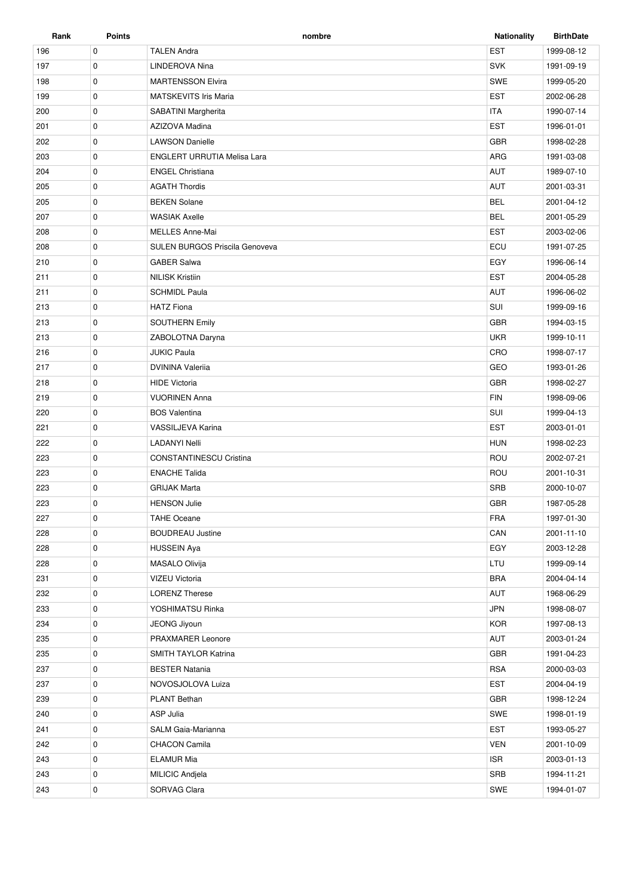| Rank | Points      | nombre                                | <b>Nationality</b> | <b>BirthDate</b> |
|------|-------------|---------------------------------------|--------------------|------------------|
| 196  | 0           | <b>TALEN Andra</b>                    | <b>EST</b>         | 1999-08-12       |
| 197  | 0           | LINDEROVA Nina                        | <b>SVK</b>         | 1991-09-19       |
| 198  | 0           | <b>MARTENSSON Elvira</b>              | <b>SWE</b>         | 1999-05-20       |
| 199  | 0           | <b>MATSKEVITS Iris Maria</b>          | <b>EST</b>         | 2002-06-28       |
| 200  | 0           | SABATINI Margherita                   | <b>ITA</b>         | 1990-07-14       |
| 201  | $\mathbf 0$ | AZIZOVA Madina                        | <b>EST</b>         | 1996-01-01       |
| 202  | 0           | <b>LAWSON Danielle</b>                | GBR                | 1998-02-28       |
| 203  | 0           | <b>ENGLERT URRUTIA Melisa Lara</b>    | ARG                | 1991-03-08       |
| 204  | $\mathbf 0$ | <b>ENGEL Christiana</b>               | AUT                | 1989-07-10       |
| 205  | 0           | <b>AGATH Thordis</b>                  | <b>AUT</b>         | 2001-03-31       |
| 205  | 0           | <b>BEKEN Solane</b>                   | <b>BEL</b>         | 2001-04-12       |
| 207  | 0           | <b>WASIAK Axelle</b>                  | <b>BEL</b>         | 2001-05-29       |
| 208  | 0           | <b>MELLES Anne-Mai</b>                | <b>EST</b>         | 2003-02-06       |
| 208  | 0           | <b>SULEN BURGOS Priscila Genoveva</b> | ECU                | 1991-07-25       |
| 210  | 0           | <b>GABER Salwa</b>                    | EGY                | 1996-06-14       |
| 211  | 0           | <b>NILISK Kristiin</b>                | <b>EST</b>         | 2004-05-28       |
| 211  | $\mathbf 0$ | <b>SCHMIDL Paula</b>                  | AUT                | 1996-06-02       |
| 213  | 0           | <b>HATZ Fiona</b>                     | SUI                | 1999-09-16       |
| 213  | 0           | <b>SOUTHERN Emily</b>                 | <b>GBR</b>         | 1994-03-15       |
| 213  | $\mathbf 0$ | ZABOLOTNA Daryna                      | <b>UKR</b>         | 1999-10-11       |
| 216  | 0           | <b>JUKIC Paula</b>                    | CRO                | 1998-07-17       |
| 217  | 0           | <b>DVININA Valeriia</b>               | GEO                | 1993-01-26       |
| 218  | 0           | <b>HIDE Victoria</b>                  | <b>GBR</b>         | 1998-02-27       |
| 219  | 0           | <b>VUORINEN Anna</b>                  | <b>FIN</b>         | 1998-09-06       |
| 220  | 0           | <b>BOS Valentina</b>                  | SUI                | 1999-04-13       |
| 221  | 0           | VASSILJEVA Karina                     | <b>EST</b>         | 2003-01-01       |
| 222  | 0           | <b>LADANYI Nelli</b>                  | <b>HUN</b>         | 1998-02-23       |
| 223  | $\mathbf 0$ | <b>CONSTANTINESCU Cristina</b>        | ROU                | 2002-07-21       |
| 223  | 0           | <b>ENACHE Talida</b>                  | ROU                | 2001-10-31       |
| 223  | 0           | <b>GRIJAK Marta</b>                   | <b>SRB</b>         | 2000-10-07       |
| 223  | 0           | <b>HENSON Julie</b>                   | <b>GBR</b>         | 1987-05-28       |
| 227  | 0           | <b>TAHE Oceane</b>                    | <b>FRA</b>         | 1997-01-30       |
| 228  | 0           | <b>BOUDREAU Justine</b>               | CAN                | 2001-11-10       |
| 228  | 0           | <b>HUSSEIN Aya</b>                    | EGY                | 2003-12-28       |
| 228  | $\mathbf 0$ | MASALO Olivija                        | LTU                | 1999-09-14       |
| 231  | 0           | <b>VIZEU Victoria</b>                 | <b>BRA</b>         | 2004-04-14       |
| 232  | 0           | <b>LORENZ Therese</b>                 | AUT                | 1968-06-29       |
| 233  | 0           | YOSHIMATSU Rinka                      | <b>JPN</b>         | 1998-08-07       |
| 234  | 0           | JEONG Jiyoun                          | <b>KOR</b>         | 1997-08-13       |
| 235  | 0           | PRAXMARER Leonore                     | AUT                | 2003-01-24       |
| 235  | 0           | <b>SMITH TAYLOR Katrina</b>           | GBR                | 1991-04-23       |
| 237  | $\mathbf 0$ | <b>BESTER Natania</b>                 | <b>RSA</b>         | 2000-03-03       |
| 237  | 0           | NOVOSJOLOVA Luiza                     | <b>EST</b>         | 2004-04-19       |
| 239  | 0           | PLANT Bethan                          | GBR                | 1998-12-24       |
| 240  | 0           | ASP Julia                             | SWE                | 1998-01-19       |
| 241  | $\mathbf 0$ | SALM Gaia-Marianna                    | EST                | 1993-05-27       |
| 242  | 0           | CHACON Camila                         | <b>VEN</b>         | 2001-10-09       |
| 243  | 0           | <b>ELAMUR Mia</b>                     | <b>ISR</b>         | 2003-01-13       |
|      |             |                                       |                    |                  |
| 243  | 0           | MILICIC Andjela                       | SRB                | 1994-11-21       |
| 243  | 0           | SORVAG Clara                          | SWE                | 1994-01-07       |